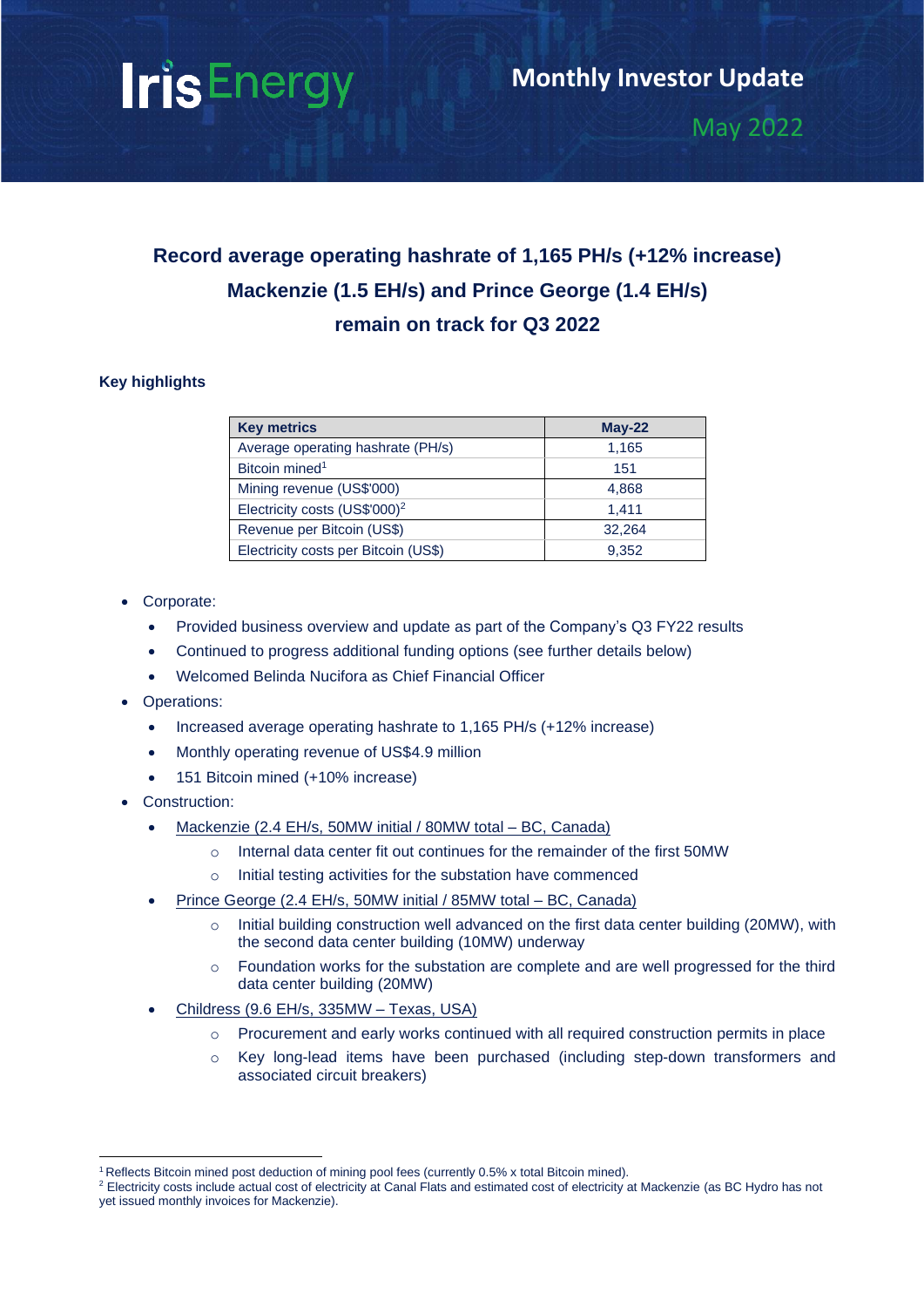# **IrisEnergy**

May 2022

# **Record average operating hashrate of 1,165 PH/s (+12% increase) Mackenzie (1.5 EH/s) and Prince George (1.4 EH/s) remain on track for Q3 2022**

# **Key highlights**

| <b>Key metrics</b>                        | $May-22$ |
|-------------------------------------------|----------|
| Average operating hashrate (PH/s)         | 1,165    |
| Bitcoin mined <sup>1</sup>                | 151      |
| Mining revenue (US\$'000)                 | 4,868    |
| Electricity costs (US\$'000) <sup>2</sup> | 1.411    |
| Revenue per Bitcoin (US\$)                | 32.264   |
| Electricity costs per Bitcoin (US\$)      | 9,352    |

- Corporate:
	- Provided [business overview and update](https://res.cloudinary.com/fd0011bcd6df493ab7c6f677825df141/video/upload/v1652318767/Management%20Presentations/z9shclkrob4z3dtiwyk5.mp4) as part of the Company's Q3 FY22 results
	- Continued to progress additional funding options (see further details below)
	- Welcomed Belinda Nucifora as Chief Financial Officer
- Operations:
	- Increased average operating hashrate to 1,165 PH/s (+12% increase)
	- Monthly operating revenue of US\$4.9 million
	- 151 Bitcoin mined (+10% increase)
- Construction:
	- Mackenzie (2.4 EH/s, 50MW initial / 80MW total BC, Canada)
		- o Internal data center fit out continues for the remainder of the first 50MW
		- o Initial testing activities for the substation have commenced
	- Prince George (2.4 EH/s, 50MW initial / 85MW total BC, Canada)
		- o Initial building construction well advanced on the first data center building (20MW), with the second data center building (10MW) underway
		- $\circ$  Foundation works for the substation are complete and are well progressed for the third data center building (20MW)
	- Childress (9.6 EH/s, 335MW Texas, USA)
		- o Procurement and early works continued with all required construction permits in place
		- o Key long-lead items have been purchased (including step-down transformers and associated circuit breakers)

<sup>1</sup> Reflects Bitcoin mined post deduction of mining pool fees (currently 0.5% x total Bitcoin mined).

<sup>&</sup>lt;sup>2</sup> Electricity costs include actual cost of electricity at Canal Flats and estimated cost of electricity at Mackenzie (as BC Hydro has not yet issued monthly invoices for Mackenzie).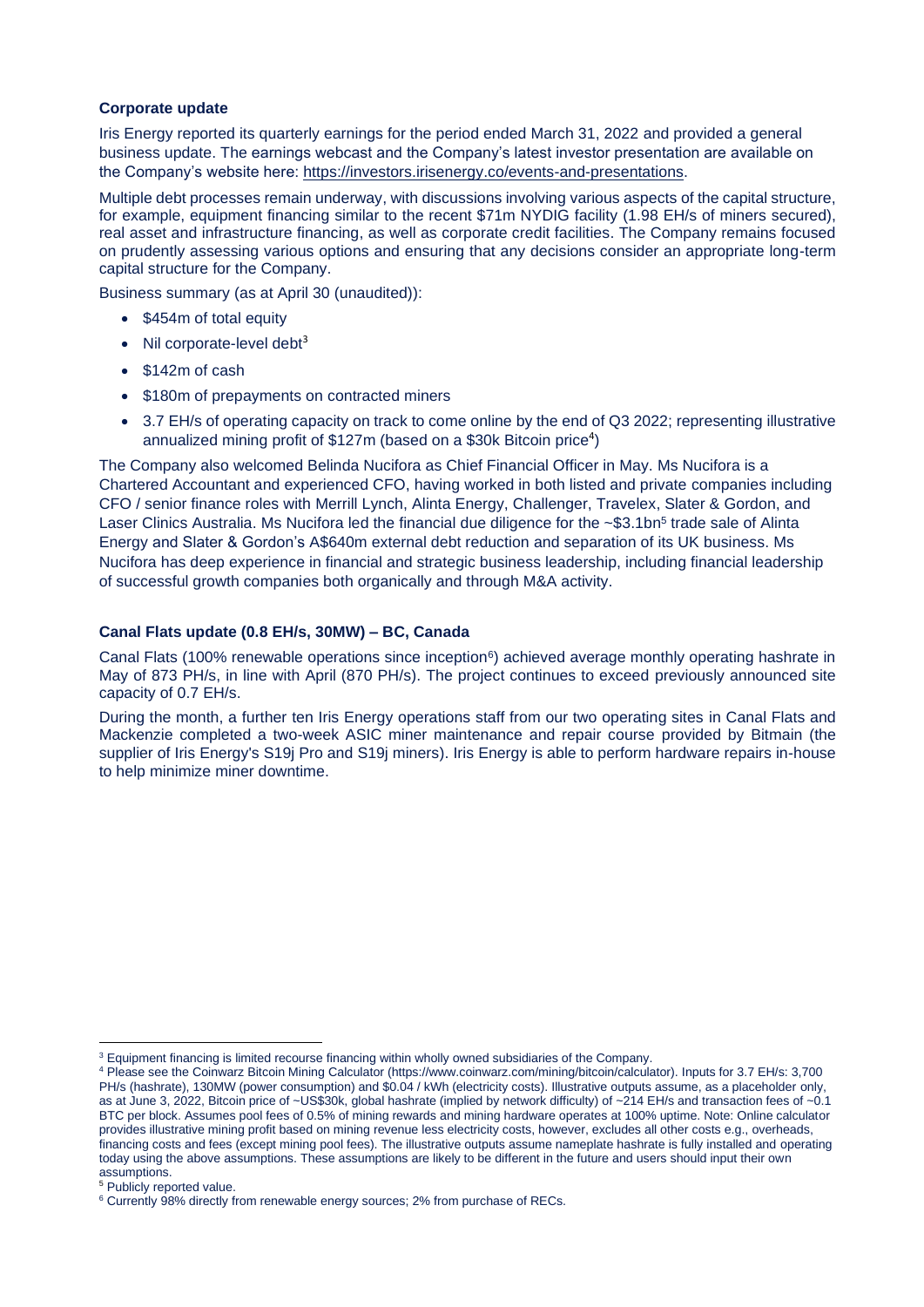#### **Corporate update**

Iris Energy reported its quarterly earnings for the period ended March 31, 2022 and provided a general business update. The earnings webcast and the Company's latest investor presentation are available on the Company's website here: [https://investors.irisenergy.co/events-and-presentations.](https://investors.irisenergy.co/events-and-presentations)

Multiple debt processes remain underway, with discussions involving various aspects of the capital structure, for example, equipment financing similar to the recent \$71m NYDIG facility (1.98 EH/s of miners secured), real asset and infrastructure financing, as well as corporate credit facilities. The Company remains focused on prudently assessing various options and ensuring that any decisions consider an appropriate long-term capital structure for the Company.

Business summary (as at April 30 (unaudited)):

- \$454m of total equity
- Nil corporate-level debt<sup>3</sup>
- \$142m of cash
- \$180m of prepayments on contracted miners
- 3.7 EH/s of operating capacity on track to come online by the end of Q3 2022; representing illustrative annualized mining profit of  $$127m$  (based on a \$30k Bitcoin price<sup>4</sup>)

The Company also welcomed Belinda Nucifora as Chief Financial Officer in May. Ms Nucifora is a Chartered Accountant and experienced CFO, having worked in both listed and private companies including CFO / senior finance roles with Merrill Lynch, Alinta Energy, Challenger, Travelex, Slater & Gordon, and Laser Clinics Australia. Ms Nucifora led the financial due diligence for the ~\$3.1bn<sup>5</sup> trade sale of Alinta Energy and Slater & Gordon's A\$640m external debt reduction and separation of its UK business. Ms Nucifora has deep experience in financial and strategic business leadership, including financial leadership of successful growth companies both organically and through M&A activity.

#### **Canal Flats update (0.8 EH/s, 30MW) – BC, Canada**

Canal Flats (100% renewable operations since inception<sup>6</sup>) achieved average monthly operating hashrate in May of 873 PH/s, in line with April (870 PH/s). The project continues to exceed previously announced site capacity of 0.7 EH/s.

During the month, a further ten Iris Energy operations staff from our two operating sites in Canal Flats and Mackenzie completed a two-week ASIC miner maintenance and repair course provided by Bitmain (the supplier of Iris Energy's S19j Pro and S19j miners). Iris Energy is able to perform hardware repairs in-house to help minimize miner downtime.

<sup>&</sup>lt;sup>3</sup> Equipment financing is limited recourse financing within wholly owned subsidiaries of the Company.

<sup>4</sup> Please see the Coinwarz Bitcoin Mining Calculator (https://www.coinwarz.com/mining/bitcoin/calculator). Inputs for 3.7 EH/s: 3,700 PH/s (hashrate), 130MW (power consumption) and \$0.04 / kWh (electricity costs). Illustrative outputs assume, as a placeholder only, as at June 3, 2022, Bitcoin price of ~US\$30k, global hashrate (implied by network difficulty) of ~214 EH/s and transaction fees of ~0.1 BTC per block. Assumes pool fees of 0.5% of mining rewards and mining hardware operates at 100% uptime. Note: Online calculator provides illustrative mining profit based on mining revenue less electricity costs, however, excludes all other costs e.g., overheads, financing costs and fees (except mining pool fees). The illustrative outputs assume nameplate hashrate is fully installed and operating today using the above assumptions. These assumptions are likely to be different in the future and users should input their own assumptions.

<sup>5</sup> Publicly reported value.

<sup>&</sup>lt;sup>6</sup> Currently 98% directly from renewable energy sources; 2% from purchase of RECs.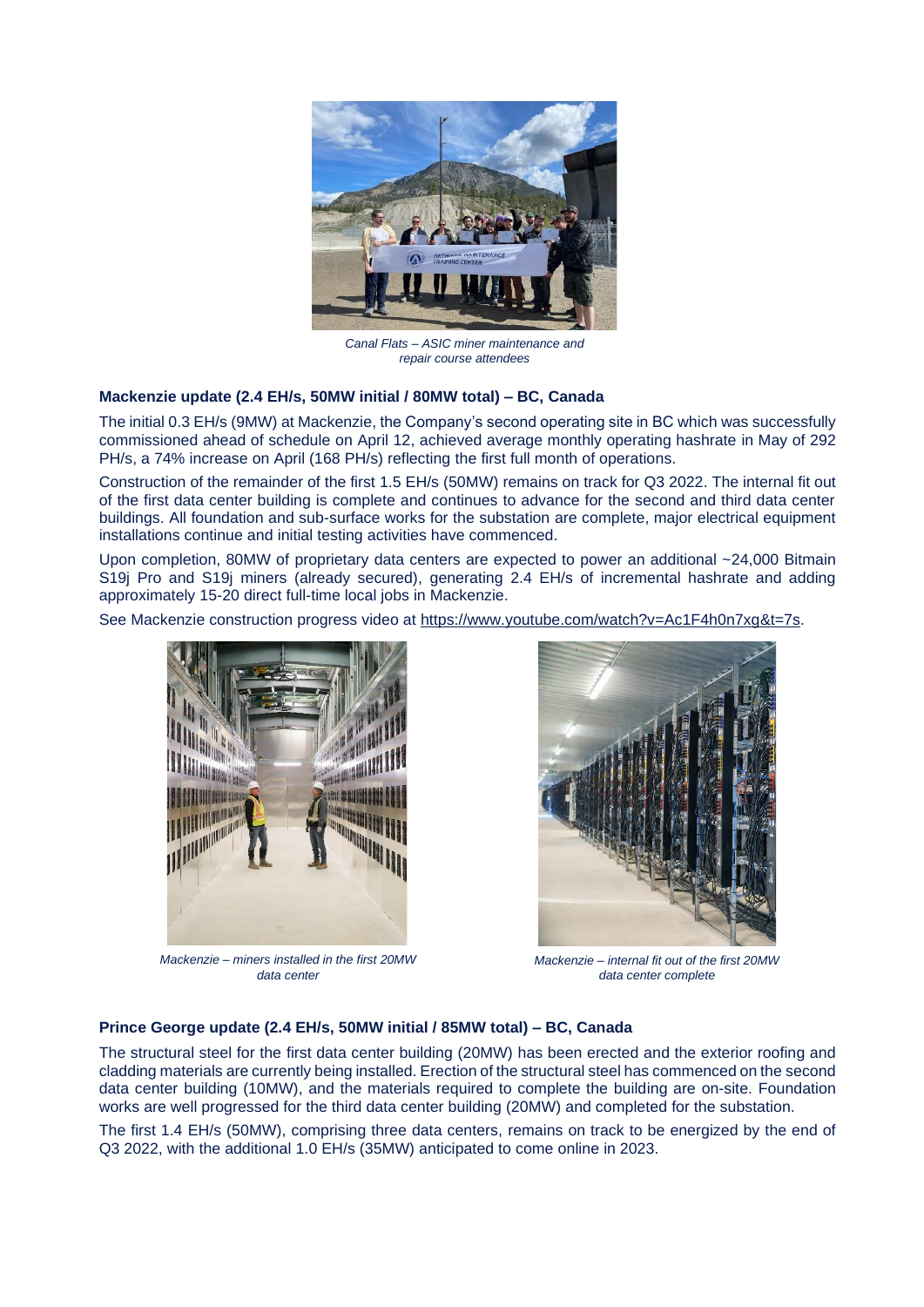

*Canal Flats – ASIC miner maintenance and repair course attendees*

#### **Mackenzie update (2.4 EH/s, 50MW initial / 80MW total) – BC, Canada**

The initial 0.3 EH/s (9MW) at Mackenzie, the Company's second operating site in BC which was successfully commissioned ahead of schedule on April 12, achieved average monthly operating hashrate in May of 292 PH/s, a 74% increase on April (168 PH/s) reflecting the first full month of operations.

Construction of the remainder of the first 1.5 EH/s (50MW) remains on track for Q3 2022. The internal fit out of the first data center building is complete and continues to advance for the second and third data center buildings. All foundation and sub-surface works for the substation are complete, major electrical equipment installations continue and initial testing activities have commenced.

Upon completion, 80MW of proprietary data centers are expected to power an additional ~24,000 Bitmain S19j Pro and S19j miners (already secured), generating 2.4 EH/s of incremental hashrate and adding approximately 15-20 direct full-time local jobs in Mackenzie.

See Mackenzie construction progress video at [https://www.youtube.com/watch?v=Ac1F4h0n7xg&t=7s.](https://www.youtube.com/watch?v=Ac1F4h0n7xg&t=7s)



*Mackenzie – miners installed in the first 20MW data center*



*Mackenzie – internal fit out of the first 20MW data center complete*

#### **Prince George update (2.4 EH/s, 50MW initial / 85MW total) – BC, Canada**

The structural steel for the first data center building (20MW) has been erected and the exterior roofing and cladding materials are currently being installed. Erection of the structural steel has commenced on the second data center building (10MW), and the materials required to complete the building are on-site. Foundation works are well progressed for the third data center building (20MW) and completed for the substation.

The first 1.4 EH/s (50MW), comprising three data centers, remains on track to be energized by the end of Q3 2022, with the additional 1.0 EH/s (35MW) anticipated to come online in 2023.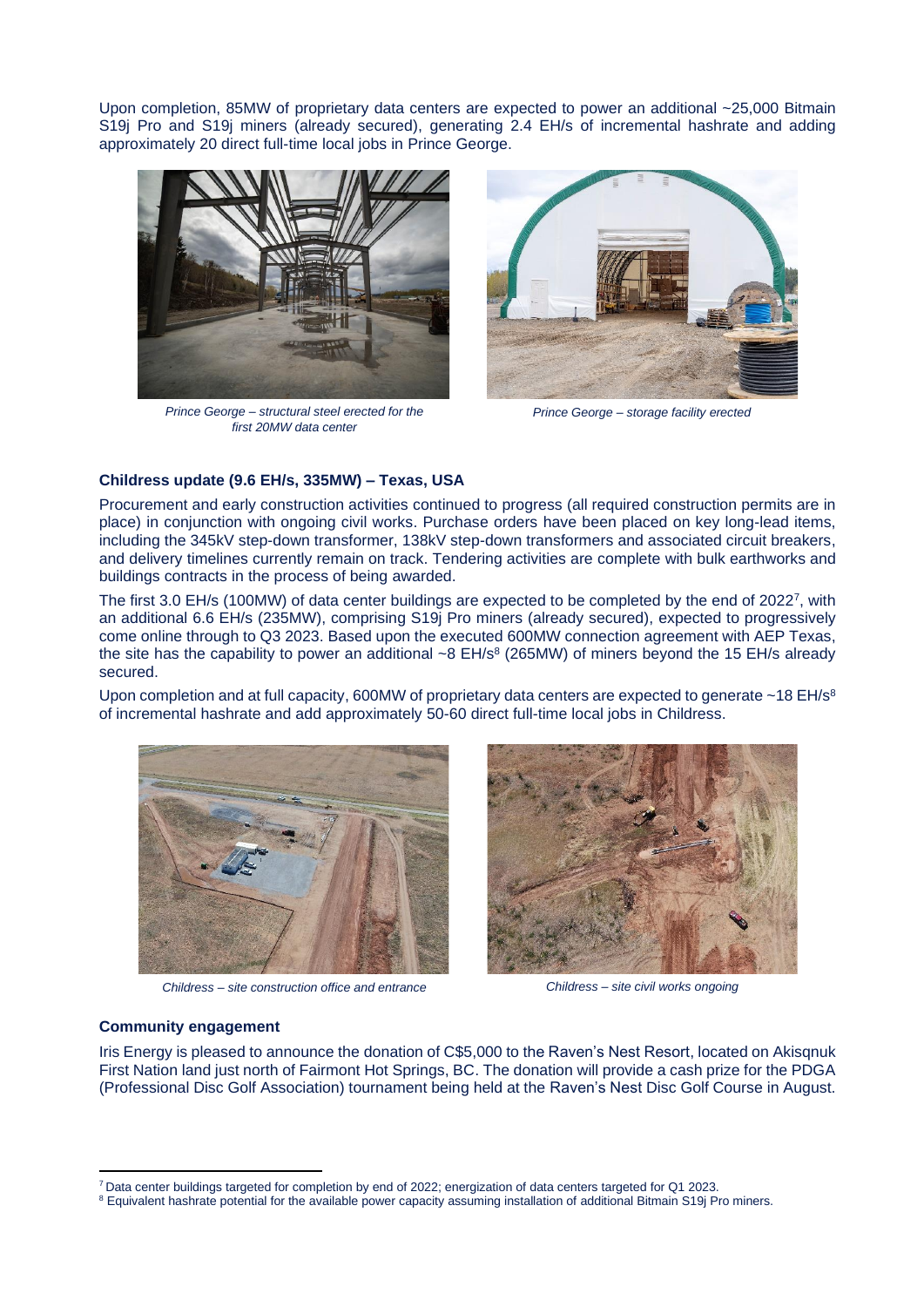Upon completion, 85MW of proprietary data centers are expected to power an additional ~25,000 Bitmain S19j Pro and S19j miners (already secured), generating 2.4 EH/s of incremental hashrate and adding approximately 20 direct full-time local jobs in Prince George.



*Prince George – structural steel erected for the first 20MW data center*



*Prince George – storage facility erected*

#### **Childress update (9.6 EH/s, 335MW) – Texas, USA**

Procurement and early construction activities continued to progress (all required construction permits are in place) in conjunction with ongoing civil works. Purchase orders have been placed on key long-lead items, including the 345kV step-down transformer, 138kV step-down transformers and associated circuit breakers, and delivery timelines currently remain on track. Tendering activities are complete with bulk earthworks and buildings contracts in the process of being awarded.

The first 3.0 EH/s (100MW) of data center buildings are expected to be completed by the end of 2022<sup>7</sup>, with an additional 6.6 EH/s (235MW), comprising S19j Pro miners (already secured), expected to progressively come online through to Q3 2023. Based upon the executed 600MW connection agreement with AEP Texas, the site has the capability to power an additional  $\sim$ 8 EH/s<sup>8</sup> (265MW) of miners beyond the 15 EH/s already secured.

Upon completion and at full capacity, 600MW of proprietary data centers are expected to generate ~18 EH/s<sup>8</sup> of incremental hashrate and add approximately 50-60 direct full-time local jobs in Childress.



*Childress – site construction office and entrance Childress – site civil works ongoing*



#### **Community engagement**

Iris Energy is pleased to announce the donation of C\$5,000 to the Raven's Nest Resort, located on Akisqnuk First Nation land just north of Fairmont Hot Springs, BC. The donation will provide a cash prize for the PDGA (Professional Disc Golf Association) tournament being held at the Raven's Nest Disc Golf Course in August.

<sup>7</sup> Data center buildings targeted for completion by end of 2022; energization of data centers targeted for Q1 2023.

<sup>&</sup>lt;sup>8</sup> Equivalent hashrate potential for the available power capacity assuming installation of additional Bitmain S19j Pro miners.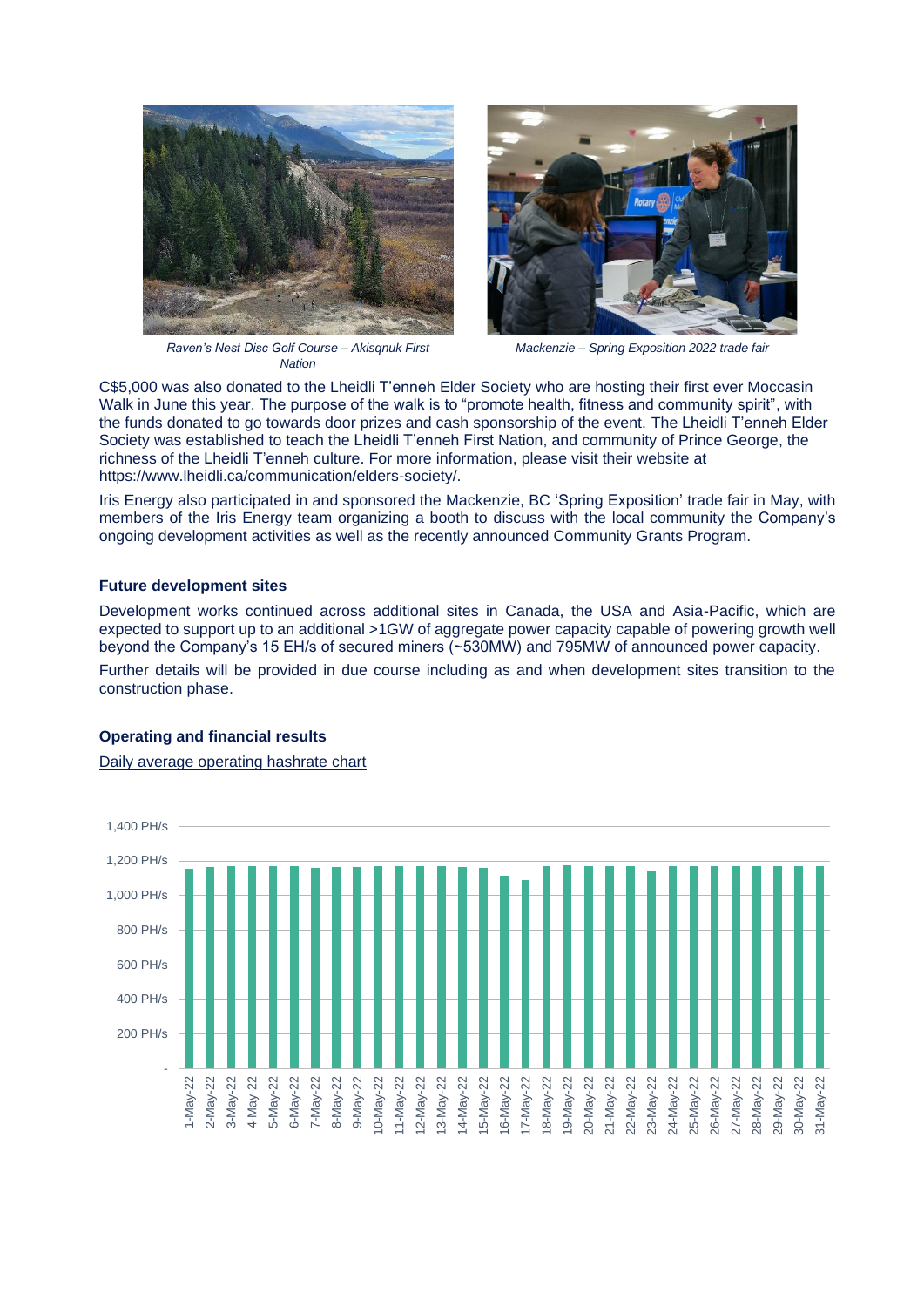





*Mackenzie – Spring Exposition 2022 trade fair*

C\$5,000 was also donated to the Lheidli T'enneh Elder Society who are hosting their first ever Moccasin Walk in June this year. The purpose of the walk is to "promote health, fitness and community spirit", with the funds donated to go towards door prizes and cash sponsorship of the event. The Lheidli T'enneh Elder Society was established to teach the Lheidli T'enneh First Nation, and community of Prince George, the richness of the Lheidli T'enneh culture. For more information, please visit their website at [https://www.lheidli.ca/communication/elders-society/.](https://www.lheidli.ca/communication/elders-society/)

Iris Energy also participated in and sponsored the Mackenzie, BC 'Spring Exposition' trade fair in May, with members of the Iris Energy team organizing a booth to discuss with the local community the Company's ongoing development activities as well as the recently announced Community Grants Program.

#### **Future development sites**

Development works continued across additional sites in Canada, the USA and Asia-Pacific, which are expected to support up to an additional >1GW of aggregate power capacity capable of powering growth well beyond the Company's 15 EH/s of secured miners (~530MW) and 795MW of announced power capacity.

Further details will be provided in due course including as and when development sites transition to the construction phase.

## **Operating and financial results**

Daily average operating hashrate chart

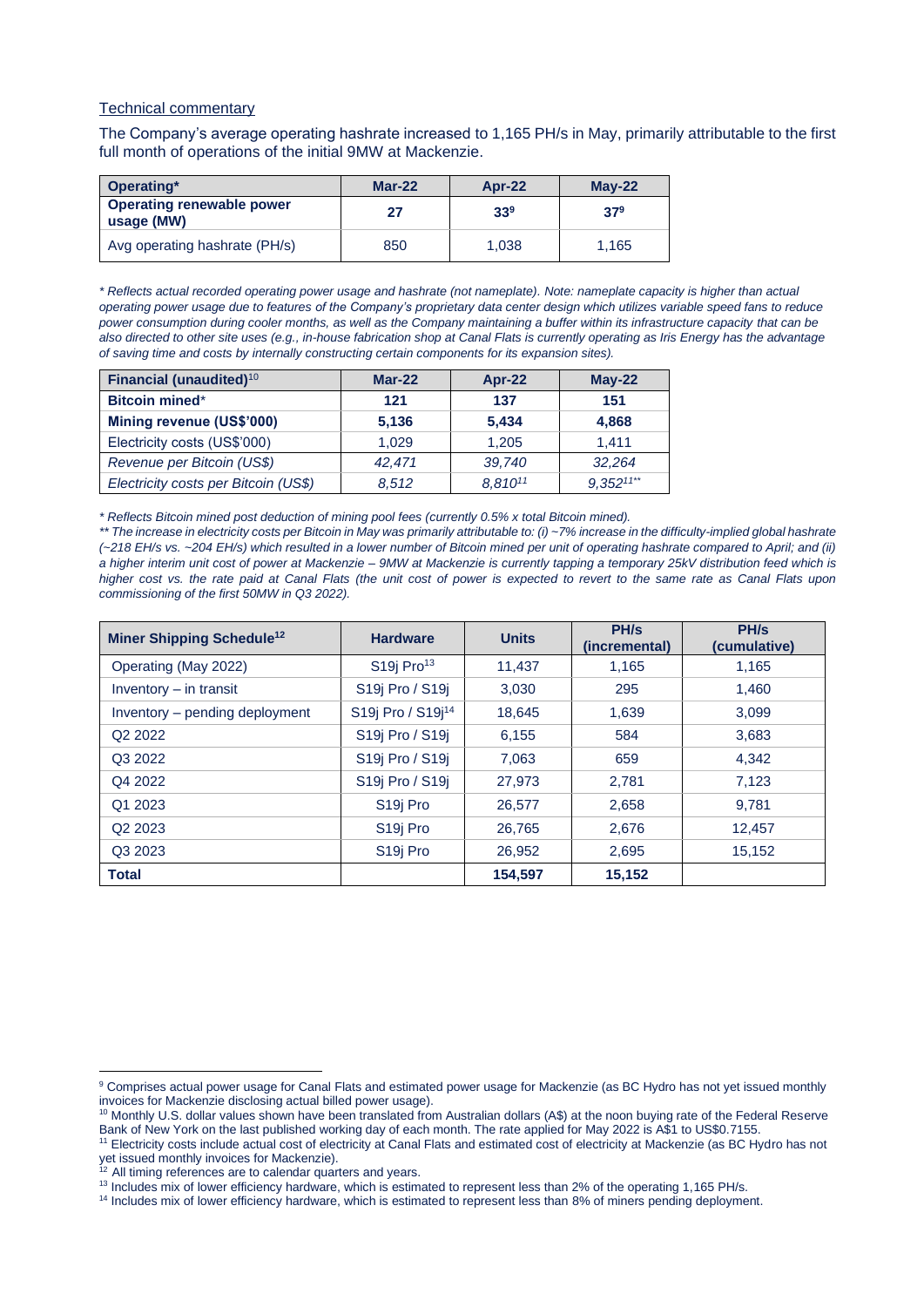#### Technical commentary

The Company's average operating hashrate increased to 1,165 PH/s in May, primarily attributable to the first full month of operations of the initial 9MW at Mackenzie.

| Operating*                                     | $Mar-22$ | <b>Apr-22</b>   | $M$ ay-22 |
|------------------------------------------------|----------|-----------------|-----------|
| <b>Operating renewable power</b><br>usage (MW) | 27       | 33 <sup>9</sup> | $37^9$    |
| Avg operating hashrate (PH/s)                  | 850      | 1.038           | 1.165     |

*\* Reflects actual recorded operating power usage and hashrate (not nameplate). Note: nameplate capacity is higher than actual operating power usage due to features of the Company's proprietary data center design which utilizes variable speed fans to reduce power consumption during cooler months, as well as the Company maintaining a buffer within its infrastructure capacity that can be also directed to other site uses (e.g., in-house fabrication shop at Canal Flats is currently operating as Iris Energy has the advantage of saving time and costs by internally constructing certain components for its expansion sites).*

| Financial (unaudited) <sup>10</sup>  | $Mar-22$ | $Apr-22$ | $Mav-22$       |
|--------------------------------------|----------|----------|----------------|
| <b>Bitcoin mined*</b>                | 121      | 137      | 151            |
| Mining revenue (US\$'000)            | 5,136    | 5.434    | 4.868          |
| Electricity costs (US\$'000)         | 1.029    | 1.205    | 1.411          |
| Revenue per Bitcoin (US\$)           | 42,471   | 39,740   | 32,264         |
| Electricity costs per Bitcoin (US\$) | 8.512    | 8,81011  | $9,352^{11**}$ |

*\* Reflects Bitcoin mined post deduction of mining pool fees (currently 0.5% x total Bitcoin mined).*

*\*\* The increase in electricity costs per Bitcoin in May was primarily attributable to: (i) ~7% increase in the difficulty-implied global hashrate (~218 EH/s vs. ~204 EH/s) which resulted in a lower number of Bitcoin mined per unit of operating hashrate compared to April; and (ii) a higher interim unit cost of power at Mackenzie – 9MW at Mackenzie is currently tapping a temporary 25kV distribution feed which is higher cost vs. the rate paid at Canal Flats (the unit cost of power is expected to revert to the same rate as Canal Flats upon commissioning of the first 50MW in Q3 2022).*

| <b>Miner Shipping Schedule<sup>12</sup></b> | <b>Hardware</b>                       | <b>Units</b> | PH/s<br>(incremental) | PH/s<br>(cumulative) |
|---------------------------------------------|---------------------------------------|--------------|-----------------------|----------------------|
| Operating (May 2022)                        | S <sub>19</sub> j Pro <sup>13</sup>   | 11,437       | 1,165                 | 1,165                |
| Inventory - in transit                      | S <sub>19</sub> Pro / S <sub>19</sub> | 3,030        | 295                   | 1,460                |
| Inventory - pending deployment              | S19j Pro / S19j <sup>14</sup>         | 18,645       | 1,639                 | 3,099                |
| Q <sub>2</sub> 2022                         | S19j Pro / S19j                       | 6,155        | 584                   | 3,683                |
| Q3 2022                                     | S19j Pro / S19j                       | 7,063        | 659                   | 4,342                |
| Q4 2022                                     | S19j Pro / S19j                       | 27,973       | 2,781                 | 7,123                |
| Q1 2023                                     | S <sub>19</sub> Pro                   | 26,577       | 2,658                 | 9,781                |
| Q <sub>2</sub> 2023                         | S <sub>19</sub> Pro                   | 26,765       | 2,676                 | 12,457               |
| Q3 2023                                     | S <sub>19</sub> Pro                   | 26,952       | 2,695                 | 15,152               |
| <b>Total</b>                                |                                       | 154,597      | 15,152                |                      |

<sup>&</sup>lt;sup>9</sup> Comprises actual power usage for Canal Flats and estimated power usage for Mackenzie (as BC Hydro has not yet issued monthly invoices for Mackenzie disclosing actual billed power usage).

<sup>10</sup> Monthly U.S. dollar values shown have been translated from Australian dollars (A\$) at the noon buying rate of the Federal Reserve Bank of New York on the last published working day of each month. The rate applied for May 2022 is A\$1 to US\$0.7155.

<sup>&</sup>lt;sup>11</sup> Electricity costs include actual cost of electricity at Canal Flats and estimated cost of electricity at Mackenzie (as BC Hydro has not yet issued monthly invoices for Mackenzie).

 $12$  All timing references are to calendar quarters and years.

<sup>13</sup> Includes mix of lower efficiency hardware, which is estimated to represent less than 2% of the operating 1,165 PH/s.

<sup>&</sup>lt;sup>14</sup> Includes mix of lower efficiency hardware, which is estimated to represent less than 8% of miners pending deployment.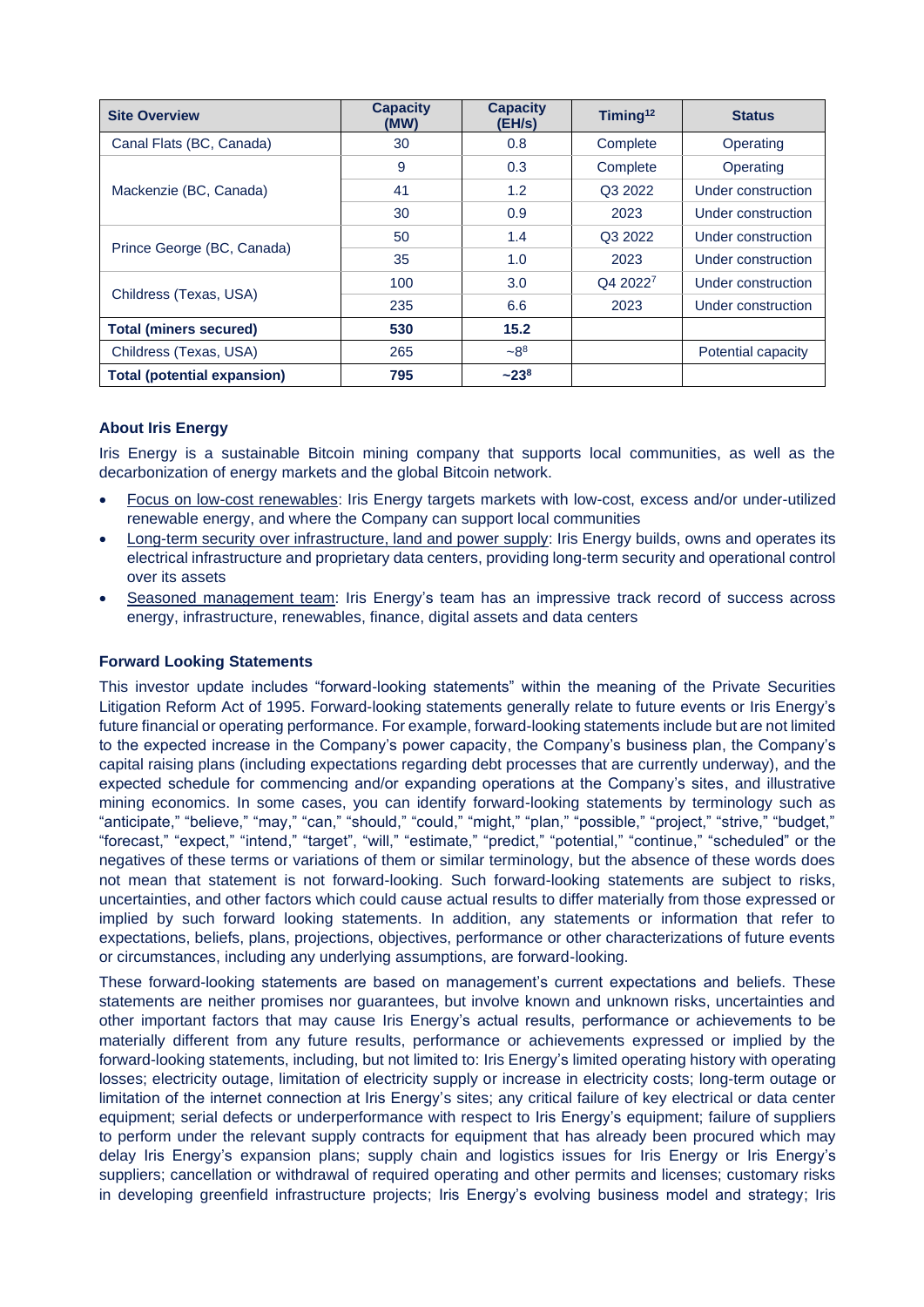| <b>Site Overview</b>               | <b>Capacity</b><br>(MW) | <b>Capacity</b><br>(EH/s) | Timing <sup>12</sup> | <b>Status</b>      |
|------------------------------------|-------------------------|---------------------------|----------------------|--------------------|
| Canal Flats (BC, Canada)           | 30                      | 0.8                       | Complete             | Operating          |
| Mackenzie (BC, Canada)             | 9                       | 0.3                       | Complete             | Operating          |
|                                    | 41                      | 1.2                       | Q3 2022              | Under construction |
|                                    | 30                      | 0.9                       | 2023                 | Under construction |
| Prince George (BC, Canada)         | 50                      | 1.4                       | Q3 2022              | Under construction |
|                                    | 35                      | 1.0                       | 2023                 | Under construction |
| Childress (Texas, USA)             | 100                     | 3.0                       | Q4 20227             | Under construction |
|                                    | 235                     | 6.6                       | 2023                 | Under construction |
| <b>Total (miners secured)</b>      | 530                     | 15.2                      |                      |                    |
| Childress (Texas, USA)             | 265                     | $-8^{8}$                  |                      | Potential capacity |
| <b>Total (potential expansion)</b> | 795                     | $~23^{8}$                 |                      |                    |

# **About Iris Energy**

Iris Energy is a sustainable Bitcoin mining company that supports local communities, as well as the decarbonization of energy markets and the global Bitcoin network.

- Focus on low-cost renewables: Iris Energy targets markets with low-cost, excess and/or under-utilized renewable energy, and where the Company can support local communities
- Long-term security over infrastructure, land and power supply: Iris Energy builds, owns and operates its electrical infrastructure and proprietary data centers, providing long-term security and operational control over its assets
- Seasoned management team: Iris Energy's team has an impressive track record of success across energy, infrastructure, renewables, finance, digital assets and data centers

## **Forward Looking Statements**

This investor update includes "forward-looking statements" within the meaning of the Private Securities Litigation Reform Act of 1995. Forward-looking statements generally relate to future events or Iris Energy's future financial or operating performance. For example, forward-looking statements include but are not limited to the expected increase in the Company's power capacity, the Company's business plan, the Company's capital raising plans (including expectations regarding debt processes that are currently underway), and the expected schedule for commencing and/or expanding operations at the Company's sites, and illustrative mining economics. In some cases, you can identify forward-looking statements by terminology such as "anticipate," "believe," "may," "can," "should," "could," "might," "plan," "possible," "project," "strive," "budget," "forecast," "expect," "intend," "target", "will," "estimate," "predict," "potential," "continue," "scheduled" or the negatives of these terms or variations of them or similar terminology, but the absence of these words does not mean that statement is not forward-looking. Such forward-looking statements are subject to risks, uncertainties, and other factors which could cause actual results to differ materially from those expressed or implied by such forward looking statements. In addition, any statements or information that refer to expectations, beliefs, plans, projections, objectives, performance or other characterizations of future events or circumstances, including any underlying assumptions, are forward-looking.

These forward-looking statements are based on management's current expectations and beliefs. These statements are neither promises nor guarantees, but involve known and unknown risks, uncertainties and other important factors that may cause Iris Energy's actual results, performance or achievements to be materially different from any future results, performance or achievements expressed or implied by the forward-looking statements, including, but not limited to: Iris Energy's limited operating history with operating losses; electricity outage, limitation of electricity supply or increase in electricity costs; long-term outage or limitation of the internet connection at Iris Energy's sites; any critical failure of key electrical or data center equipment; serial defects or underperformance with respect to Iris Energy's equipment; failure of suppliers to perform under the relevant supply contracts for equipment that has already been procured which may delay Iris Energy's expansion plans; supply chain and logistics issues for Iris Energy or Iris Energy's suppliers; cancellation or withdrawal of required operating and other permits and licenses; customary risks in developing greenfield infrastructure projects; Iris Energy's evolving business model and strategy; Iris